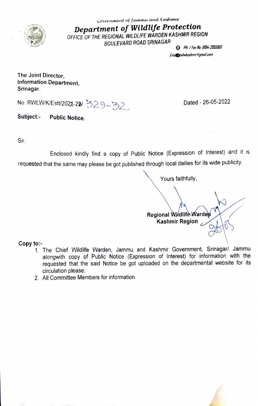

Government of Jammw and Kashmir Department of Wildlife Protection OFFICE OF THE REGIONAL WILDLIFE WARDEN KASHMIR REGION BOULEVARD ROAD SRINAGAR  $\bullet$  PH/Fax Na: 0194-2955801

Emat**ze**wlwkashmir@gmail.com

The Joint Director, Information Department, Srinagar.

No. RWLW/K/Estt/2021-22/ 329-32 Dated:- 26-05-2022

Subject:- Public Notice.

Sir,

Enclosed kindly find a copy of Public Notice (Expression of Interest) and it is requested that the same may please be got published through local dailies for its wide publicity.

Yours faithfully,

Regional Wildlife Warden<br>بر Kashmir Region

Copy to:-

- 1. The Chief Wildlife Warden, Jammu and Kashmir Government, Srinagar/ Jammu alongwith copy of Public Notice (Expression of Interest) for information with the requested that the said Notice be got uploaded on the departmental website for its circulation please.
- 2. All Committee Members for information.